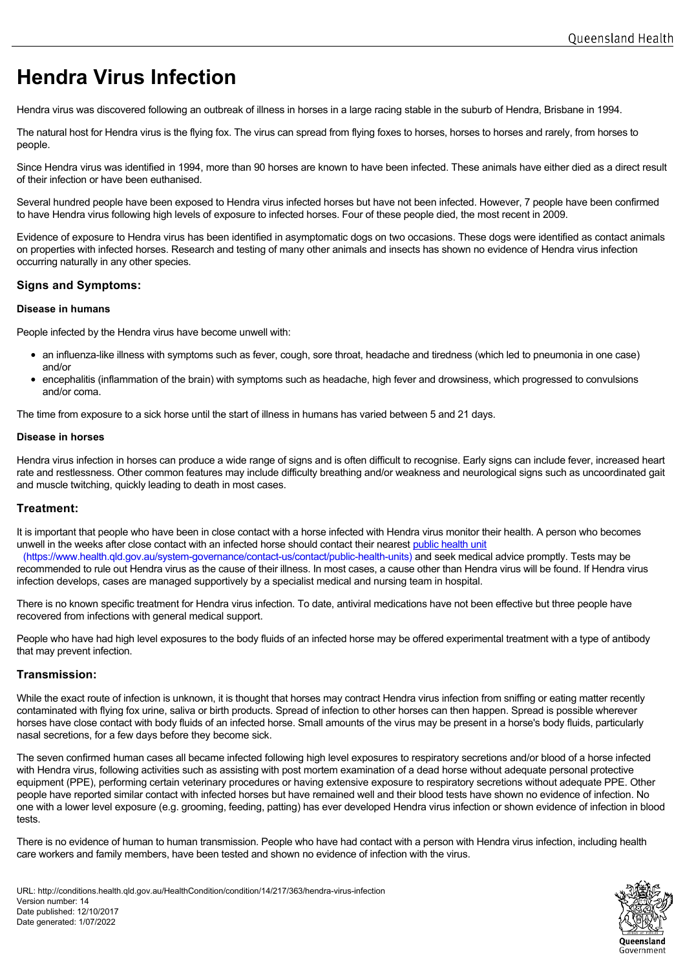# **Hendra Virus Infection**

Hendra virus was discovered following an outbreak of illness in horses in a large racing stable in the suburb of Hendra, Brisbane in 1994.

The natural host for Hendra virus is the flying fox. The virus can spread from flying foxes to horses, horses to horses and rarely, from horses to people.

Since Hendra virus was identified in 1994, more than 90 horses are known to have been infected. These animals have either died as a direct result of their infection or have been euthanised.

Several hundred people have been exposed to Hendra virus infected horses but have not been infected. However, 7 people have been confirmed to have Hendra virus following high levels of exposure to infected horses. Four of these people died, the most recent in 2009.

Evidence of exposure to Hendra virus has been identified in asymptomatic dogs on two occasions. These dogs were identified as contact animals on properties with infected horses. Research and testing of many other animals and insects has shown no evidence of Hendra virus infection occurring naturally in any other species.

# **Signs and Symptoms:**

## **Disease in humans**

People infected by the Hendra virus have become unwell with:

- an influenza-like illness with symptoms such as fever, cough, sore throat, headache and tiredness (which led to pneumonia in one case) and/or
- encephalitis (inflammation of the brain) with symptoms such as headache, high fever and drowsiness, which progressed to convulsions and/or coma.

The time from exposure to a sick horse until the start of illness in humans has varied between 5 and 21 days.

### **Disease in horses**

Hendra virus infection in horses can produce a wide range of signs and is often difficult to recognise. Early signs can include fever, increased heart rate and restlessness. Other common features may include difficulty breathing and/or weakness and neurological signs such as uncoordinated gait and muscle twitching, quickly leading to death in most cases.

## **Treatment:**

It is important that people who have been in close contact with a horse infected with Hendra virus monitor their health. A person who becomes unwell in the weeks after close contact with an infected horse should contact their nearest public health unit

(https://www.health.qld.gov.au/system-governance/contact-us/contact/public-health-units) and seek medical advice promptly. Tests may be recommended to rule out Hendra virus as the cause of their illness. In most cases, a cause other than Hendra virus will be found. If Hendra virus infection develops, cases are managed supportively by a specialist medical and nursing team in hospital.

There is no known specific treatment for Hendra virus infection. To date, antiviral medications have not been effective but three people have recovered from infections with general medical support.

People who have had high level exposures to the body fluids of an infected horse may be offered experimental treatment with a type of antibody that may prevent infection.

# **Transmission:**

While the exact route of infection is unknown, it is thought that horses may contract Hendra virus infection from sniffing or eating matter recently contaminated with flying fox urine, saliva or birth products. Spread of infection to other horses can then happen. Spread is possible wherever horses have close contact with body fluids of an infected horse. Small amounts of the virus may be present in a horse's body fluids, particularly nasal secretions, for a few days before they become sick.

The seven confirmed human cases all became infected following high level exposures to respiratory secretions and/or blood of a horse infected with Hendra virus, following activities such as assisting with post mortem examination of a dead horse without adequate personal protective equipment (PPE), performing certain veterinary procedures or having extensive exposure to respiratory secretions without adequate PPE. Other people have reported similar contact with infected horses but have remained well and their blood tests have shown no evidence of infection. No one with a lower level exposure (e.g. grooming, feeding, patting) has ever developed Hendra virus infection or shown evidence of infection in blood tests.

There is no evidence of human to human transmission. People who have had contact with a person with Hendra virus infection, including health care workers and family members, have been tested and shown no evidence of infection with the virus.

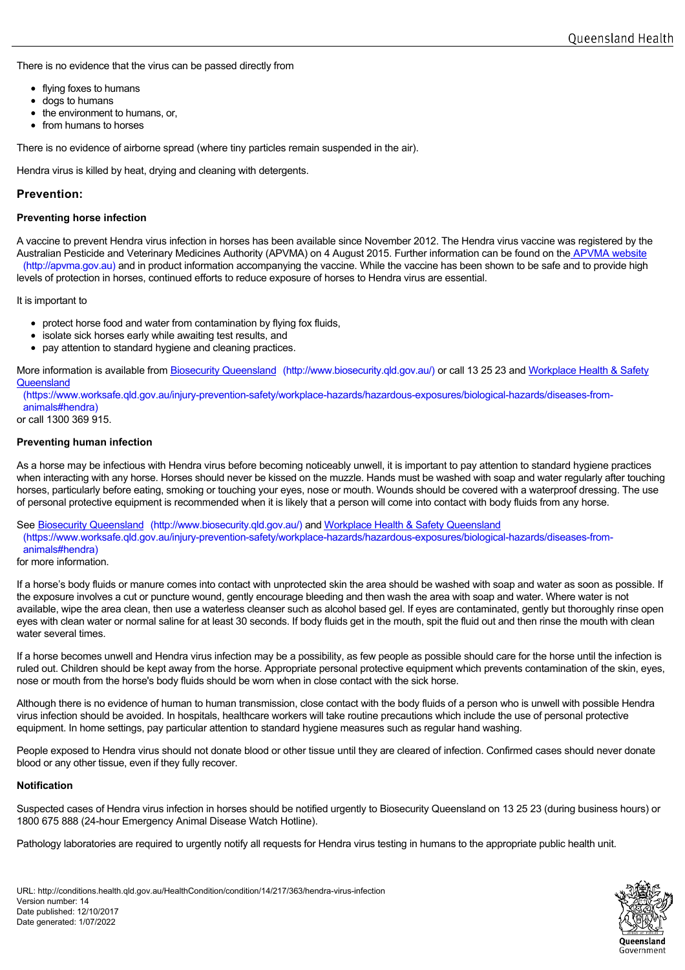There is no evidence that the virus can be passed directly from

- flying foxes to humans
- dogs to humans
- the environment to humans, or,
- from humans to horses

There is no evidence of airborne spread (where tiny particles remain suspended in the air).

Hendra virus is killed by heat, drying and cleaning with detergents.

# **Prevention:**

### **Preventing horse infection**

A vaccine to prevent Hendra virus infection in horses has been available since November 2012. The Hendra virus vaccine was registered by the Australian Pesticide and Veterinary Medicines Authority (APVMA) on 4 August 2015. Further information can be found on the **APVMA** website (http://apvma.gov.au) and in product information accompanying the vaccine. While the vaccine has been shown to be safe and to provide high levels of protection in horses, continued efforts to reduce exposure of horses to Hendra virus are essential.

It is important to

- protect horse food and water from contamination by flying fox fluids,
- isolate sick horses early while awaiting test results, and
- pay attention to standard hygiene and cleaning practices.

More information is available from Biosecurity Queensland [\(http://www.biosecurity.qld.gov.au/\)](http://www.biosecurity.qld.gov.au/) or call 13 25 23 and Workplace Health & Safety **Queensland** 

[\(https://www.worksafe.qld.gov.au/injury-prevention-safety/workplace-hazards/hazardous-exposures/biological-hazards/diseases-from](https://www.worksafe.qld.gov.au/injury-prevention-safety/workplace-hazards/hazardous-exposures/biological-hazards/diseases-from-animals#hendra)animals#hendra)

or call 1300 369 915.

### **Preventing human infection**

As a horse may be infectious with Hendra virus before becoming noticeably unwell, it is important to pay attention to standard hygiene practices when interacting with any horse. Horses should never be kissed on the muzzle. Hands must be washed with soap and water regularly after touching horses, particularly before eating, smoking or touching your eyes, nose or mouth. Wounds should be covered with a waterproof dressing. The use of personal protective equipment is recommended when it is likely that a person will come into contact with body fluids from any horse.

See Biosecurity Queensland (http://www.biosecurity.gld.gov.au/) and Workplace Health & Safety Queensland

(https://www.worksafe.qld.gov.au/injury-prevention-safety/workplace[-hazards/hazardous-exposures/biological-hazards/diseases-from](https://www.worksafe.qld.gov.au/injury-prevention-safety/workplace-hazards/hazardous-exposures/biological-hazards/diseases-from-animals#hendra)animals#hendra)

#### for more information.

If a horse's body fluids or manure comes into contact with unprotected skin the area should be washed with soap and water as soon as possible. If the exposure involves a cut or puncture wound, gently encourage bleeding and then wash the area with soap and water. Where water is not available, wipe the area clean, then use a waterless cleanser such as alcohol based gel. If eyes are contaminated, gently but thoroughly rinse open eyes with clean water or normal saline for at least 30 seconds. If body fluids get in the mouth, spit the fluid out and then rinse the mouth with clean water several times.

If a horse becomes unwell and Hendra virus infection may be a possibility, as few people as possible should care for the horse until the infection is ruled out. Children should be kept away from the horse. Appropriate personal protective equipment which prevents contamination of the skin, eyes, nose or mouth from the horse's body fluids should be worn when in close contact with the sick horse.

Although there is no evidence of human to human transmission, close contact with the body fluids of a person who is unwell with possible Hendra virus infection should be avoided. In hospitals, healthcare workers will take routine precautions which include the use of personal protective equipment. In home settings, pay particular attention to standard hygiene measures such as regular hand washing.

People exposed to Hendra virus should not donate blood or other tissue until they are cleared of infection. Confirmed cases should never donate blood or any other tissue, even if they fully recover.

## **Notification**

Suspected cases of Hendra virus infection in horses should be notified urgently to Biosecurity Queensland on 13 25 23 (during business hours) or 1800 675 888 (24-hour Emergency Animal Disease Watch Hotline).

Pathology laboratories are required to urgently notify all requests for Hendra virus testing in humans to the appropriate public health unit.